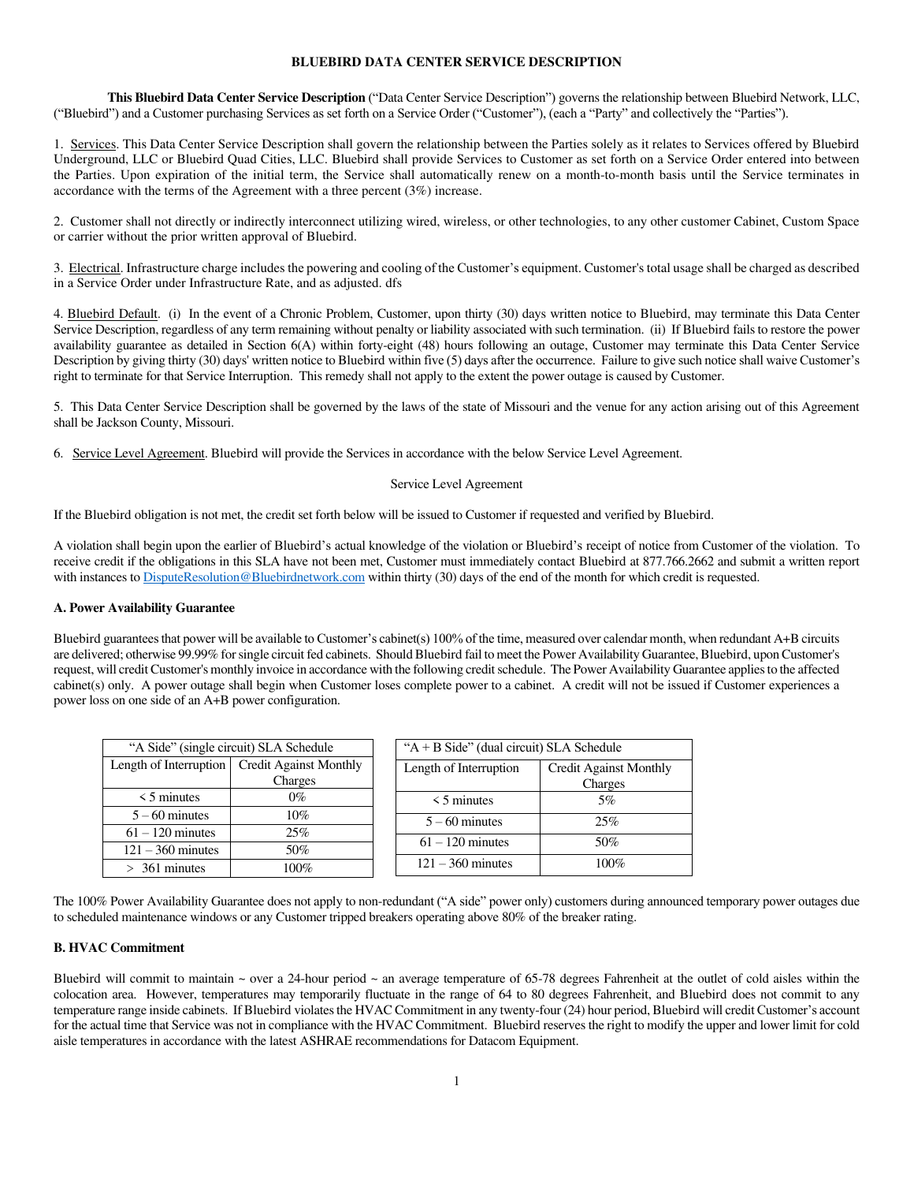# **BLUEBIRD DATA CENTER SERVICE DESCRIPTION**

 **This Bluebird Data Center Service Description** ("Data Center Service Description") governs the relationship between Bluebird Network, LLC, ("Bluebird") and a Customer purchasing Services as set forth on a Service Order ("Customer"), (each a "Party" and collectively the "Parties").

1. Services. This Data Center Service Description shall govern the relationship between the Parties solely as it relates to Services offered by Bluebird Underground, LLC or Bluebird Quad Cities, LLC. Bluebird shall provide Services to Customer as set forth on a Service Order entered into between the Parties. Upon expiration of the initial term, the Service shall automatically renew on a month-to-month basis until the Service terminates in accordance with the terms of the Agreement with a three percent (3%) increase.

2. Customer shall not directly or indirectly interconnect utilizing wired, wireless, or other technologies, to any other customer Cabinet, Custom Space or carrier without the prior written approval of Bluebird.

3. Electrical. Infrastructure charge includes the powering and cooling of the Customer's equipment. Customer's total usage shall be charged as described in a Service Order under Infrastructure Rate, and as adjusted. dfs

4. Bluebird Default. (i) In the event of a Chronic Problem, Customer, upon thirty (30) days written notice to Bluebird, may terminate this Data Center Service Description, regardless of any term remaining without penalty or liability associated with such termination. (ii) If Bluebird fails to restore the power availability guarantee as detailed in Section 6(A) within forty-eight (48) hours following an outage, Customer may terminate this Data Center Service Description by giving thirty (30) days' written notice to Bluebird within five (5) days after the occurrence. Failure to give such notice shall waive Customer's right to terminate for that Service Interruption. This remedy shall not apply to the extent the power outage is caused by Customer.

5. This Data Center Service Description shall be governed by the laws of the state of Missouri and the venue for any action arising out of this Agreement shall be Jackson County, Missouri.

6. Service Level Agreement. Bluebird will provide the Services in accordance with the below Service Level Agreement.

#### Service Level Agreement

If the Bluebird obligation is not met, the credit set forth below will be issued to Customer if requested and verified by Bluebird.

A violation shall begin upon the earlier of Bluebird's actual knowledge of the violation or Bluebird's receipt of notice from Customer of the violation. To receive credit if the obligations in this SLA have not been met, Customer must immediately contact Bluebird at 877.766.2662 and submit a written report with instances t[o DisputeResolution@Bluebirdnetwork.com w](mailto:DisputeResolution@Bluebirdnetwork.com)ithin thirty (30) days of the end of the month for which credit is requested.

### **A. Power Availability Guarantee**

Bluebird guarantees that power will be available to Customer's cabinet(s) 100% of the time, measured over calendar month, when redundant A+B circuits are delivered; otherwise 99.99% for single circuit fed cabinets. Should Bluebird fail to meet the Power Availability Guarantee, Bluebird, upon Customer's request, will credit Customer's monthly invoice in accordance with the following credit schedule. The Power Availability Guarantee applies to the affected cabinet(s) only. A power outage shall begin when Customer loses complete power to a cabinet. A credit will not be issued if Customer experiences a power loss on one side of an A+B power configuration.

| "A Side" (single circuit) SLA Schedule |                                                 |  | " $A + B$ Side" (dual circuit) SLA Schedule |                               |
|----------------------------------------|-------------------------------------------------|--|---------------------------------------------|-------------------------------|
|                                        | Length of Interruption   Credit Against Monthly |  | Length of Interruption                      | <b>Credit Against Monthly</b> |
|                                        | Charges                                         |  |                                             | Charges                       |
| $\leq$ 5 minutes                       | 0%                                              |  | $\leq$ 5 minutes                            | 5%                            |
| $5 - 60$ minutes                       | 10%                                             |  | $5 - 60$ minutes                            | 25%                           |
| $61 - 120$ minutes                     | 25%                                             |  |                                             |                               |
| $121 - 360$ minutes                    | 50%                                             |  | $61 - 120$ minutes                          | 50%                           |
| $> 361$ minutes                        | 100%                                            |  | $121 - 360$ minutes                         | 100%                          |

The 100% Power Availability Guarantee does not apply to non-redundant ("A side" power only) customers during announced temporary power outages due to scheduled maintenance windows or any Customer tripped breakers operating above 80% of the breaker rating.

# **B. HVAC Commitment**

Bluebird will commit to maintain  $\sim$  over a 24-hour period  $\sim$  an average temperature of 65-78 degrees Fahrenheit at the outlet of cold aisles within the colocation area. However, temperatures may temporarily fluctuate in the range of 64 to 80 degrees Fahrenheit, and Bluebird does not commit to any temperature range inside cabinets. If Bluebird violates the HVAC Commitment in any twenty-four (24) hour period, Bluebird will credit Customer's account for the actual time that Service was not in compliance with the HVAC Commitment. Bluebird reserves the right to modify the upper and lower limit for cold aisle temperatures in accordance with the latest ASHRAE recommendations for Datacom Equipment.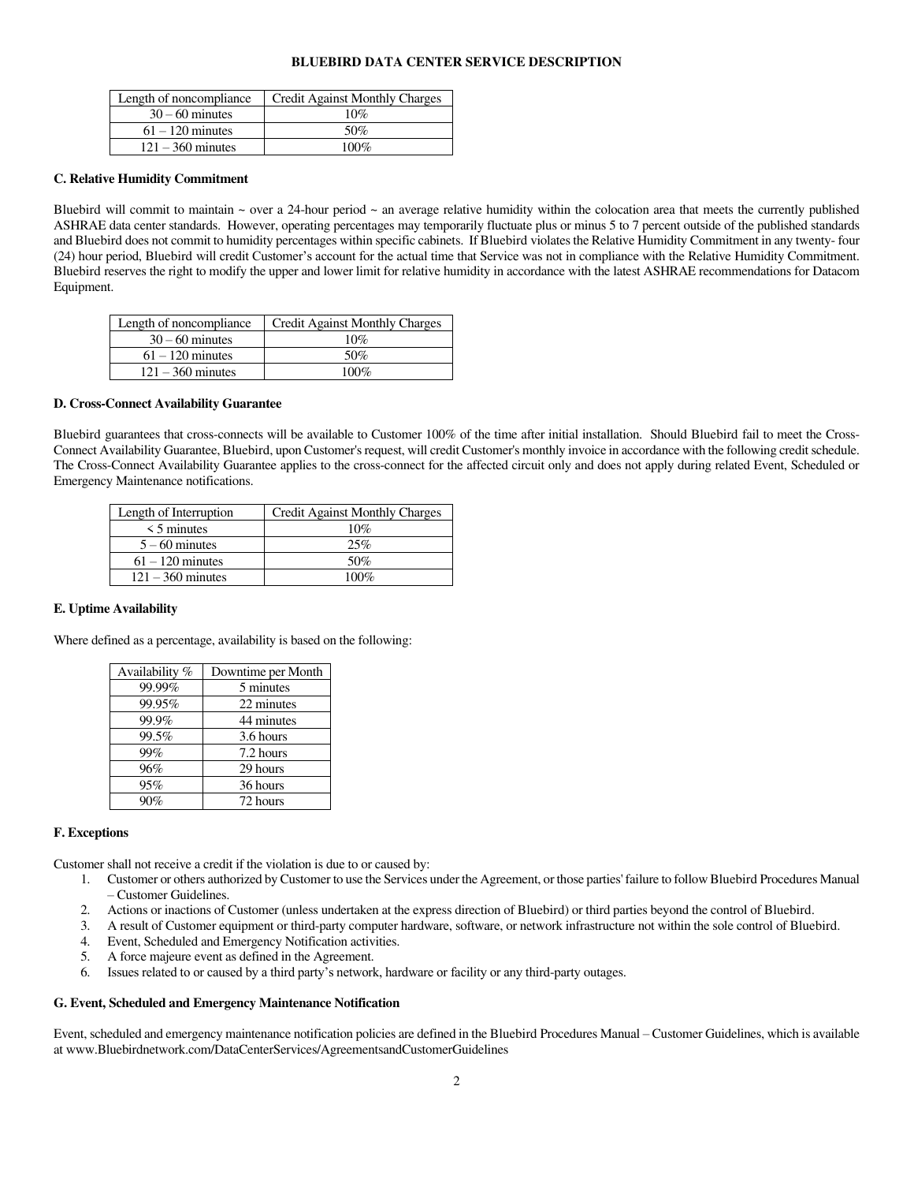### **BLUEBIRD DATA CENTER SERVICE DESCRIPTION**

| Length of noncompliance | Credit Against Monthly Charges |
|-------------------------|--------------------------------|
| $30 - 60$ minutes       | 10%                            |
| $61 - 120$ minutes      | 50%                            |
| $121 - 360$ minutes     | $100\%$                        |

#### **C. Relative Humidity Commitment**

Bluebird will commit to maintain  $\sim$  over a 24-hour period  $\sim$  an average relative humidity within the colocation area that meets the currently published ASHRAE data center standards. However, operating percentages may temporarily fluctuate plus or minus 5 to 7 percent outside of the published standards and Bluebird does not commit to humidity percentages within specific cabinets. If Bluebird violates the Relative Humidity Commitment in any twenty- four (24) hour period, Bluebird will credit Customer's account for the actual time that Service was not in compliance with the Relative Humidity Commitment. Bluebird reserves the right to modify the upper and lower limit for relative humidity in accordance with the latest ASHRAE recommendations for Datacom Equipment.

| Length of noncompliance | Credit Against Monthly Charges |
|-------------------------|--------------------------------|
| $30 - 60$ minutes       | 10%                            |
| $61 - 120$ minutes      | 50%                            |
| $121 - 360$ minutes     | $100\%$                        |

## **D. Cross-Connect Availability Guarantee**

Bluebird guarantees that cross-connects will be available to Customer 100% of the time after initial installation. Should Bluebird fail to meet the Cross-Connect Availability Guarantee, Bluebird, upon Customer's request, will credit Customer's monthly invoice in accordance with the following credit schedule. The Cross-Connect Availability Guarantee applies to the cross-connect for the affected circuit only and does not apply during related Event, Scheduled or Emergency Maintenance notifications.

| Length of Interruption | Credit Against Monthly Charges |
|------------------------|--------------------------------|
| $\leq$ 5 minutes       | 10%                            |
| $5 - 60$ minutes       | 25%                            |
| $61 - 120$ minutes     | 50%                            |
| $121 - 360$ minutes    | 100%                           |

#### **E. Uptime Availability**

Where defined as a percentage, availability is based on the following:

| Availability % | Downtime per Month |
|----------------|--------------------|
| 99.99%         | 5 minutes          |
| 99.95%         | 22 minutes         |
| 99.9%          | 44 minutes         |
| 99.5%          | 3.6 hours          |
| 99%            | 7.2 hours          |
| 96%            | 29 hours           |
| 95%            | 36 hours           |
|                | 72 hours           |

## **F. Exceptions**

Customer shall not receive a credit if the violation is due to or caused by:

- 1. Customer or others authorized by Customer to use the Services under the Agreement, or those parties' failure to follow Bluebird Procedures Manual – Customer Guidelines.
- 2. Actions or inactions of Customer (unless undertaken at the express direction of Bluebird) or third parties beyond the control of Bluebird.
- 3. A result of Customer equipment or third-party computer hardware, software, or network infrastructure not within the sole control of Bluebird.
- 4. Event, Scheduled and Emergency Notification activities.
- 5. A force majeure event as defined in the Agreement.
- 6. Issues related to or caused by a third party's network, hardware or facility or any third-party outages.

## **G. Event, Scheduled and Emergency Maintenance Notification**

Event, scheduled and emergency maintenance notification policies are defined in the Bluebird Procedures Manual – Customer Guidelines, which is available at www.Bluebirdnetwork.com/DataCenterServices/AgreementsandCustomerGuidelines